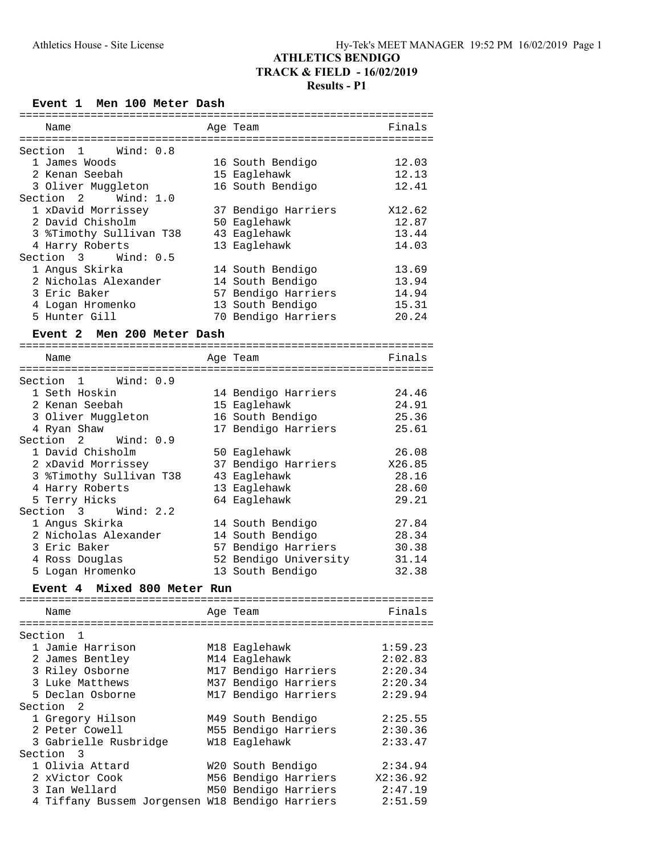### **Event 1 Men 100 Meter Dash**

| Name                                            | Age Team              | Finals   |
|-------------------------------------------------|-----------------------|----------|
|                                                 |                       |          |
| Section<br>1<br>Wind: 0.8                       |                       |          |
| 1 James Woods                                   | 16 South Bendigo      | 12.03    |
| 2 Kenan Seebah                                  | 15 Eaglehawk          | 12.13    |
| 3 Oliver Muggleton                              | 16 South Bendigo      | 12.41    |
| Section 2<br>Wind: 1.0                          |                       |          |
| 1 xDavid Morrissey                              | 37 Bendigo Harriers   | X12.62   |
| 2 David Chisholm                                | 50 Eaglehawk          | 12.87    |
| 3 %Timothy Sullivan T38                         | 43 Eaglehawk          | 13.44    |
| 4 Harry Roberts                                 | 13 Eaglehawk          | 14.03    |
| Section 3<br>Wind: 0.5                          |                       |          |
| 1 Angus Skirka                                  | 14 South Bendigo      | 13.69    |
| 2 Nicholas Alexander                            | 14 South Bendigo      | 13.94    |
| 3 Eric Baker                                    | 57 Bendigo Harriers   | 14.94    |
| 4 Logan Hromenko                                | 13 South Bendigo      | 15.31    |
| 5 Hunter Gill                                   | 70 Bendigo Harriers   | 20.24    |
| Event 2 Men 200 Meter Dash                      |                       |          |
|                                                 |                       |          |
| Name                                            | Age Team              | Finals   |
|                                                 |                       |          |
| Section 1<br>Wind: 0.9                          |                       |          |
| 1 Seth Hoskin                                   | 14 Bendigo Harriers   | 24.46    |
| 2 Kenan Seebah                                  | 15 Eaglehawk          | 24.91    |
| 3 Oliver Muggleton                              | 16 South Bendigo      | 25.36    |
| 4 Ryan Shaw                                     | 17 Bendigo Harriers   | 25.61    |
| Section <sub>2</sub><br>Wind: $0.9$             |                       |          |
| 1 David Chisholm                                | 50 Eaglehawk          | 26.08    |
| 2 xDavid Morrissey                              | 37 Bendigo Harriers   | X26.85   |
| 3 %Timothy Sullivan T38                         | 43 Eaglehawk          | 28.16    |
| 4 Harry Roberts                                 | 13 Eaglehawk          | 28.60    |
| 5 Terry Hicks                                   | 64 Eaglehawk          | 29.21    |
| Wind: $2.2$<br>Section 3                        |                       |          |
| 1 Angus Skirka                                  | 14 South Bendigo      | 27.84    |
| 2 Nicholas Alexander                            | 14 South Bendigo      | 28.34    |
| 3 Eric Baker                                    | 57 Bendigo Harriers   | 30.38    |
| 4 Ross Douglas                                  | 52 Bendigo University | 31.14    |
| 5 Logan Hromenko                                | 13 South Bendigo      | 32.38    |
| Event 4                                         |                       |          |
| Mixed 800 Meter Run                             |                       |          |
| Name                                            | Age Team              | Finals   |
|                                                 |                       |          |
| Section<br>1                                    |                       |          |
| 1 Jamie Harrison                                | M18 Eaglehawk         | 1:59.23  |
| 2 James Bentley                                 | M14 Eaglehawk         | 2:02.83  |
| 3 Riley Osborne                                 | M17 Bendigo Harriers  | 2:20.34  |
| 3 Luke Matthews                                 | M37 Bendigo Harriers  | 2:20.34  |
| 5 Declan Osborne                                | M17 Bendigo Harriers  | 2:29.94  |
| Section<br>2                                    |                       |          |
| 1 Gregory Hilson                                | M49 South Bendigo     | 2:25.55  |
| 2 Peter Cowell                                  | M55 Bendigo Harriers  | 2:30.36  |
| 3 Gabrielle Rusbridge                           | W18 Eaglehawk         | 2:33.47  |
| Section 3                                       |                       |          |
| 1 Olivia Attard                                 | W20 South Bendigo     | 2:34.94  |
| 2 xVictor Cook                                  | M56 Bendigo Harriers  | X2:36.92 |
| 3 Ian Wellard                                   | M50 Bendigo Harriers  | 2:47.19  |
| 4 Tiffany Bussem Jorgensen W18 Bendigo Harriers |                       | 2:51.59  |
|                                                 |                       |          |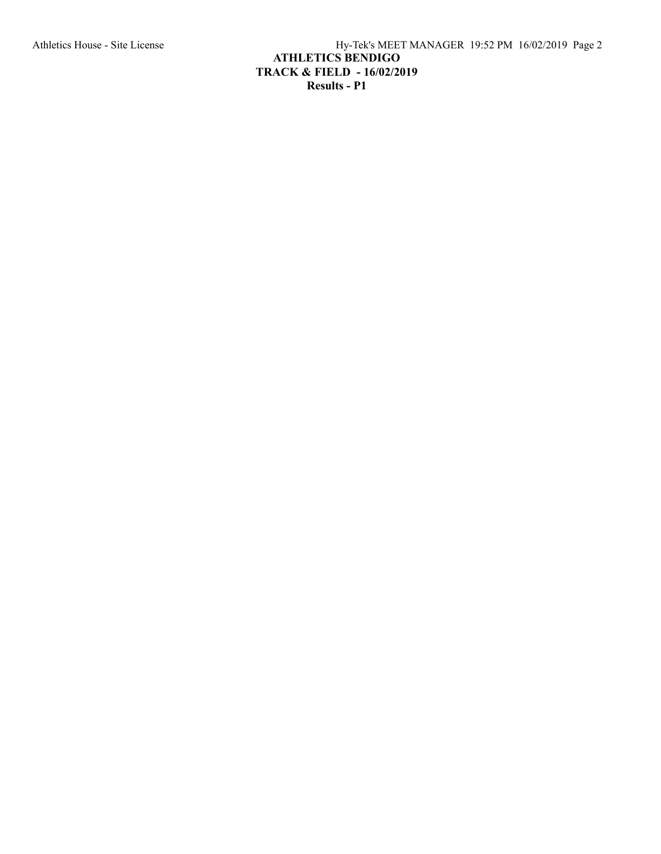Athletics House - Site License Hy-Tek's MEET MANAGER 19:52 PM 16/02/2019 Page 2 **ATHLETICS BENDIGO TRACK & FIELD - 16/02/2019 Results - P1**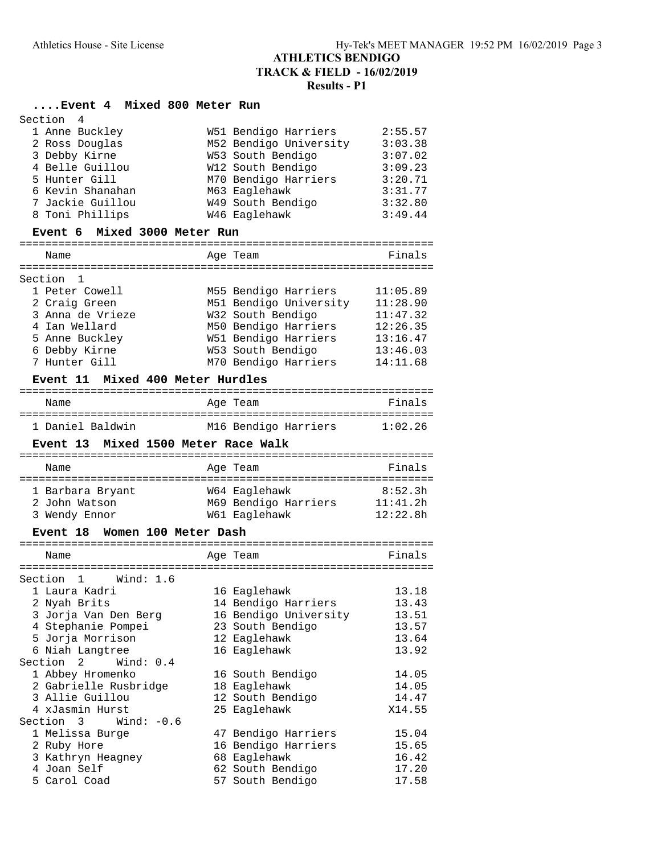#### **....Event 4 Mixed 800 Meter Run**

| Section 4 |                  |                        |         |
|-----------|------------------|------------------------|---------|
|           | 1 Anne Buckley   | W51 Bendigo Harriers   | 2:55.57 |
|           | 2 Ross Douglas   | M52 Bendigo University | 3:03.38 |
|           | 3 Debby Kirne    | W53 South Bendigo      | 3:07.02 |
|           | 4 Belle Guillou  | W12 South Bendigo      | 3:09.23 |
|           | 5 Hunter Gill    | M70 Bendigo Harriers   | 3:20.71 |
|           | 6 Kevin Shanahan | M63 Eaglehawk          | 3:31.77 |
|           | 7 Jackie Guillou | W49 South Bendigo      | 3:32.80 |
|           | 8 Toni Phillips  | W46 Eaglehawk          | 3:49.44 |
|           |                  |                        |         |

### **Event 6 Mixed 3000 Meter Run**

|                                                                                                                                          | Finals                                                                                                                                                                                                                     |
|------------------------------------------------------------------------------------------------------------------------------------------|----------------------------------------------------------------------------------------------------------------------------------------------------------------------------------------------------------------------------|
|                                                                                                                                          |                                                                                                                                                                                                                            |
| M55 Bendigo Harriers<br>M51 Bendigo University<br>W32 South Bendigo<br>M50 Bendigo Harriers<br>W51 Bendigo Harriers<br>W53 South Bendigo | 11:05.89<br>11:28.90<br>11:47.32<br>12:26.35<br>13:16.47<br>13:46.03                                                                                                                                                       |
|                                                                                                                                          | 14:11.68                                                                                                                                                                                                                   |
| Mixed 400 Meter Hurdles                                                                                                                  |                                                                                                                                                                                                                            |
| Age Team                                                                                                                                 | Finals                                                                                                                                                                                                                     |
| M16 Bendigo Harriers                                                                                                                     | 1:02.26                                                                                                                                                                                                                    |
| Event 13 Mixed 1500 Meter Race Walk                                                                                                      |                                                                                                                                                                                                                            |
| Age Team                                                                                                                                 | Finals                                                                                                                                                                                                                     |
| W64 Eaglehawk<br>M69 Bendigo Harriers 11:41.2h<br>W61 Eaglehawk                                                                          | 8:52.3h<br>12:22.8h                                                                                                                                                                                                        |
| Women 100 Meter Dash                                                                                                                     |                                                                                                                                                                                                                            |
| Age Team                                                                                                                                 | Finals                                                                                                                                                                                                                     |
|                                                                                                                                          |                                                                                                                                                                                                                            |
|                                                                                                                                          | 13.18                                                                                                                                                                                                                      |
| 14 Bendigo Harriers                                                                                                                      | 13.43                                                                                                                                                                                                                      |
|                                                                                                                                          | Age Team<br>M70 Bendigo Harriers<br>==============================<br>========================<br>:================================<br>===================<br>-----------------<br>=======================<br>16 Eaglehawk |

| T PANTA VANIT            | TO FRYTENT OF         | $\bot$ . $\bot$ 0 |
|--------------------------|-----------------------|-------------------|
| 2 Nyah Brits             | 14 Bendigo Harriers   | 13.43             |
| 3 Jorja Van Den Berg     | 16 Bendigo University | 13.51             |
| 4 Stephanie Pompei       | 23 South Bendigo      | 13.57             |
| 5 Jorja Morrison         | 12 Eaglehawk          | 13.64             |
| 6 Niah Langtree          | 16 Eaglehawk          | 13.92             |
| Section 2 Wind: 0.4      |                       |                   |
| 1 Abbey Hromenko         | 16 South Bendigo      | 14.05             |
| 2 Gabrielle Rusbridge    | 18 Eaglehawk          | 14.05             |
| 3 Allie Guillou          | 12 South Bendigo      | 14.47             |
| 4 xJasmin Hurst          | 25 Eaglehawk          | X14.55            |
| $Section 3$ Wind: $-0.6$ |                       |                   |
| 1 Melissa Burge          | 47 Bendigo Harriers   | 15.04             |
| 2 Ruby Hore              | 16 Bendigo Harriers   | 15.65             |
| 3 Kathryn Heagney        | 68 Eaglehawk          | 16.42             |
| 4 Joan Self              | 62 South Bendigo      | 17.20             |
| 5 Carol Coad             | 57 South Bendigo      | 17.58             |
|                          |                       |                   |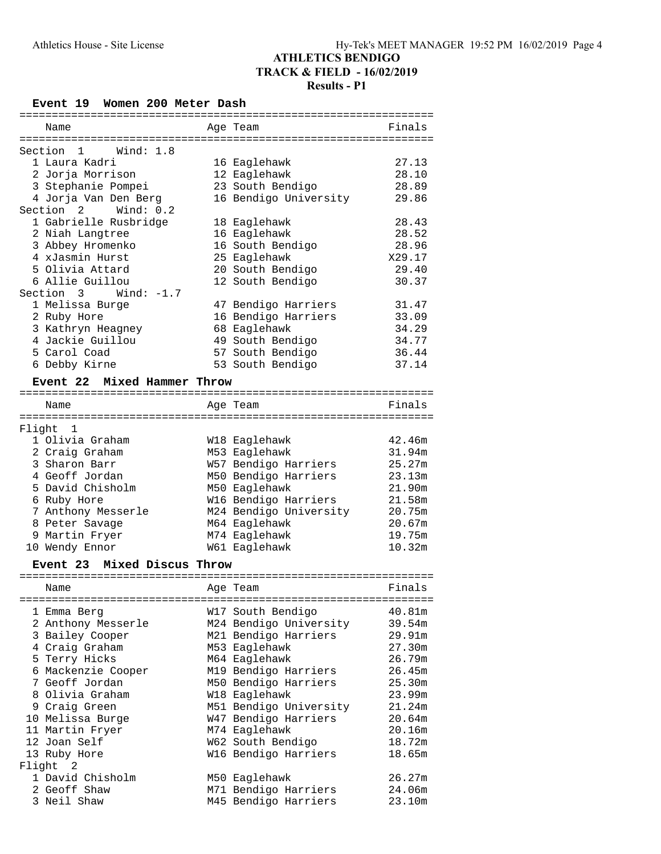## **Results - P1**

### **Event 19 Women 200 Meter Dash**

| ==========<br>======================= |                                           |  |                                      |        |  |  |
|---------------------------------------|-------------------------------------------|--|--------------------------------------|--------|--|--|
|                                       | Name                                      |  | Age Team                             | Finals |  |  |
|                                       | Section<br>Wind: 1.8<br>1                 |  |                                      |        |  |  |
|                                       | 1 Laura Kadri                             |  | 16 Eaglehawk                         | 27.13  |  |  |
|                                       | 2 Jorja Morrison                          |  | 12 Eaglehawk                         | 28.10  |  |  |
|                                       | 3 Stephanie Pompei                        |  | 23 South Bendigo                     | 28.89  |  |  |
|                                       | 4 Jorja Van Den Berg                      |  | 16 Bendigo University                | 29.86  |  |  |
|                                       | Wind: 0.2<br>Section 2                    |  |                                      |        |  |  |
|                                       | 1 Gabrielle Rusbridge                     |  | 18 Eaglehawk                         | 28.43  |  |  |
|                                       | 2 Niah Langtree                           |  | 16 Eaglehawk                         | 28.52  |  |  |
|                                       | 3 Abbey Hromenko                          |  | 16 South Bendigo                     | 28.96  |  |  |
|                                       | 4 xJasmin Hurst                           |  | 25 Eaglehawk                         | X29.17 |  |  |
|                                       | 5 Olivia Attard                           |  | 20 South Bendigo                     | 29.40  |  |  |
|                                       | 6 Allie Guillou                           |  | 12 South Bendigo                     | 30.37  |  |  |
|                                       | Section 3<br>Wind: $-1.7$                 |  |                                      |        |  |  |
|                                       |                                           |  | 47 Bendigo Harriers                  | 31.47  |  |  |
|                                       | 1 Melissa Burge<br>2 Ruby Hore            |  | 16 Bendigo Harriers                  | 33.09  |  |  |
|                                       |                                           |  |                                      |        |  |  |
|                                       | 3 Kathryn Heagney                         |  | 68 Eaglehawk                         | 34.29  |  |  |
|                                       | 4 Jackie Guillou                          |  | 49 South Bendigo                     | 34.77  |  |  |
|                                       | 5 Carol Coad                              |  | 57 South Bendigo                     | 36.44  |  |  |
|                                       | 6 Debby Kirne                             |  | 53 South Bendigo                     | 37.14  |  |  |
|                                       | <b>Event 22</b><br>Mixed Hammer Throw     |  |                                      |        |  |  |
|                                       |                                           |  |                                      |        |  |  |
|                                       | Name                                      |  | Age Team                             | Finals |  |  |
|                                       |                                           |  |                                      |        |  |  |
| Flight                                | $\mathbf{1}$                              |  |                                      |        |  |  |
|                                       | 1 Olivia Graham                           |  | W18 Eaglehawk                        | 42.46m |  |  |
|                                       | 2 Craig Graham                            |  | M53 Eaglehawk                        | 31.94m |  |  |
|                                       | 3 Sharon Barr                             |  | W57 Bendigo Harriers                 | 25.27m |  |  |
|                                       | 4 Geoff Jordan                            |  | M50 Bendigo Harriers                 | 23.13m |  |  |
|                                       | 5 David Chisholm                          |  | M50 Eaglehawk                        | 21.90m |  |  |
|                                       | 6 Ruby Hore                               |  | W16 Bendigo Harriers                 | 21.58m |  |  |
|                                       | 7 Anthony Messerle                        |  | M24 Bendigo University               | 20.75m |  |  |
|                                       | 8 Peter Savage                            |  | M64 Eaglehawk                        | 20.67m |  |  |
|                                       | 9 Martin Fryer                            |  | M74 Eaglehawk                        | 19.75m |  |  |
|                                       | 10 Wendy Ennor                            |  | W61 Eaglehawk                        | 10.32m |  |  |
| Mixed Discus Throw<br>Event 23        |                                           |  |                                      |        |  |  |
|                                       | ================<br>==========            |  |                                      |        |  |  |
|                                       | Name<br>================================= |  | Age Team<br>======================== | Finals |  |  |
|                                       | 1 Emma Berg                               |  | W17 South Bendigo                    | 40.81m |  |  |
|                                       | 2 Anthony Messerle                        |  | M24 Bendigo University               | 39.54m |  |  |
|                                       | 3 Bailey Cooper                           |  | M21 Bendigo Harriers                 | 29.91m |  |  |
|                                       | 4 Craig Graham                            |  | M53 Eaglehawk                        | 27.30m |  |  |
|                                       | 5 Terry Hicks                             |  | M64 Eaglehawk                        | 26.79m |  |  |
|                                       |                                           |  |                                      |        |  |  |
|                                       | 6 Mackenzie Cooper                        |  | M19 Bendigo Harriers                 | 26.45m |  |  |
|                                       | 7 Geoff Jordan                            |  | M50 Bendigo Harriers                 | 25.30m |  |  |
|                                       | 8 Olivia Graham                           |  | W18 Eaglehawk                        | 23.99m |  |  |
|                                       | 9 Craig Green                             |  | M51 Bendigo University               | 21.24m |  |  |
|                                       | 10 Melissa Burge                          |  | W47 Bendigo Harriers                 | 20.64m |  |  |
|                                       | 11 Martin Fryer                           |  | M74 Eaglehawk                        | 20.16m |  |  |
|                                       | 12 Joan Self                              |  | W62 South Bendigo                    | 18.72m |  |  |
|                                       | 13 Ruby Hore                              |  | W16 Bendigo Harriers                 | 18.65m |  |  |
| Flight                                | 2                                         |  |                                      |        |  |  |
|                                       | 1 David Chisholm                          |  | M50 Eaglehawk                        | 26.27m |  |  |
|                                       | 2 Geoff Shaw                              |  | M71 Bendigo Harriers                 | 24.06m |  |  |
|                                       | 3 Neil Shaw                               |  | M45 Bendigo Harriers                 | 23.10m |  |  |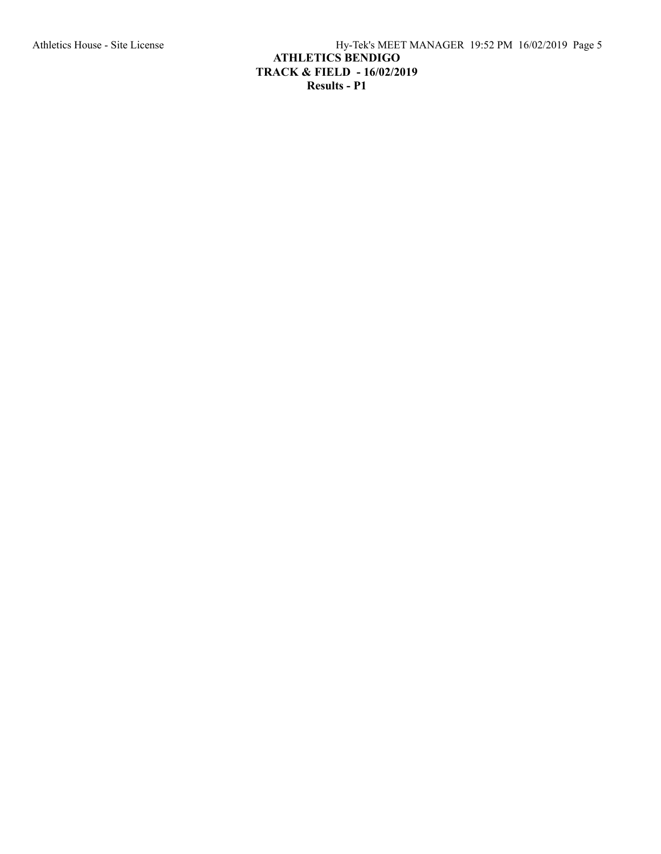Athletics House - Site License Hy-Tek's MEET MANAGER 19:52 PM 16/02/2019 Page 5 **ATHLETICS BENDIGO TRACK & FIELD - 16/02/2019 Results - P1**